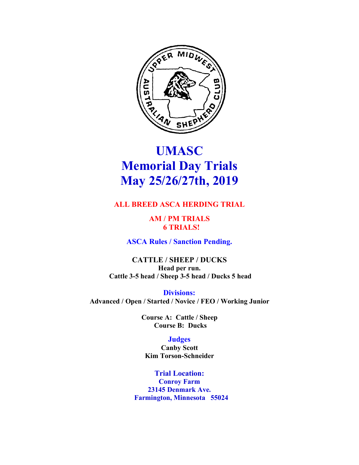

# **UMASC Memorial Day Trials May 25/26/27th, 2019**

# **ALL BREED ASCA HERDING TRIAL**

**AM / PM TRIALS 6 TRIALS!** 

**ASCA Rules / Sanction Pending.**

**CATTLE / SHEEP / DUCKS Head per run. Cattle 3-5 head / Sheep 3-5 head / Ducks 5 head** 

**Divisions: Advanced / Open / Started / Novice / FEO / Working Junior**

> **Course A: Cattle / Sheep Course B: Ducks**

## **Judges**

**Canby Scott Kim Torson-Schneider**

**Trial Location: Conroy Farm 23145 Denmark Ave. Farmington, Minnesota 55024**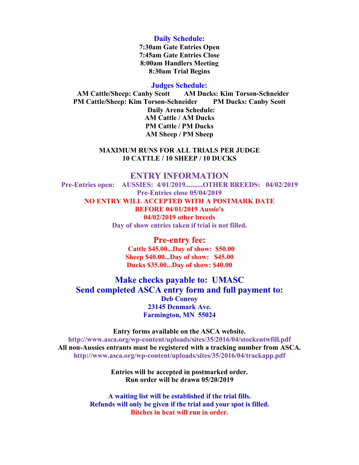#### **Daily Schedule:**

**7:30am Gate Entries Open 7:45am Gate Entries Close 8:00am Handlers Meeting 8:30am Trial Begins**

#### **Judges Schedule:**

 **AM Cattle/Sheep: Canby Scott AM Ducks: Kim Torson-Schneider PM Cattle/Sheep: Kim Torson-Schneider PM Ducks: Canby Scott Daily Arena Schedule: AM Cattle / AM Ducks PM Cattle / PM Ducks AM Sheep / PM Sheep**

#### **MAXIMUM RUNS FOR ALL TRIALS PER JUDGE 10 CATTLE / 10 SHEEP / 10 DUCKS**

### **ENTRY INFORMATION**

**Pre-Entries open: AUSSIES: 4/01/2019..........OTHER BREEDS: 04/02/2019 Pre-Entries close 05/04/2019 NO ENTRY WILL ACCEPTED WITH A POSTMARK DATE BEFORE 04/01/2019 Aussie's 04/02/2019 other breeds Day of show entries taken if trial is not filled.**

> **Pre-entry fee: Cattle \$45.00...Day of show: \$50.00 Sheep \$40.00...Day of show: \$45.00 Ducks \$35.00...Day of show: \$40.00**

## **Make checks payable to: UMASC Send completed ASCA entry form and full payment to: Deb Conroy 23145 Denmark Ave. Farmington, MN 55024**

**Entry forms available on the ASCA website. http://www.asca.org/wp-content/uploads/sites/35/2016/04/stockentwfill.pdf All non-Aussies entrants must be registered with a tracking number from ASCA. http://www.asca.org/wp-content/uploads/sites/35/2016/04/trackapp.pdf** 

> **Entries will be accepted in postmarked order. Run order will be drawn 05/20/2019**

**A waiting list will be established if the trial fills. Refunds will only be given if the trial and your spot is filled. Bitches in heat will run in order.**